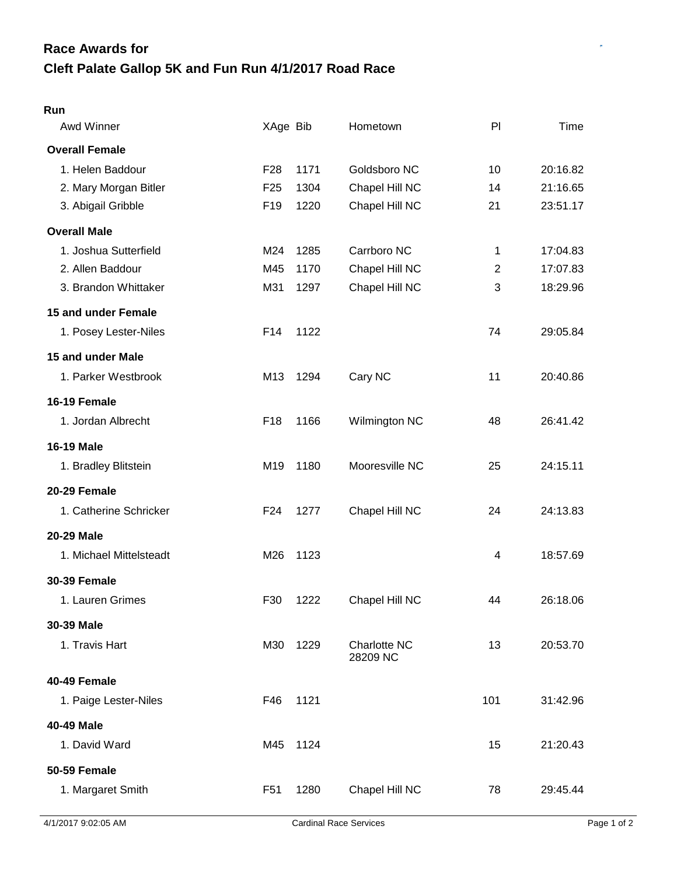## **Cleft Palate Gallop 5K and Fun Run 4/1/2017 Road Race Race Awards for**

## **Run**

| Awd Winner              | XAge Bib        |      | Hometown                 | P <sub>1</sub> | Time     |
|-------------------------|-----------------|------|--------------------------|----------------|----------|
| <b>Overall Female</b>   |                 |      |                          |                |          |
| 1. Helen Baddour        | F <sub>28</sub> | 1171 | Goldsboro NC             | 10             | 20:16.82 |
| 2. Mary Morgan Bitler   | F <sub>25</sub> | 1304 | Chapel Hill NC           | 14             | 21:16.65 |
| 3. Abigail Gribble      | F <sub>19</sub> | 1220 | Chapel Hill NC           | 21             | 23:51.17 |
| <b>Overall Male</b>     |                 |      |                          |                |          |
| 1. Joshua Sutterfield   | M24             | 1285 | Carrboro NC              | 1              | 17:04.83 |
| 2. Allen Baddour        | M45             | 1170 | Chapel Hill NC           | $\overline{c}$ | 17:07.83 |
| 3. Brandon Whittaker    | M31             | 1297 | Chapel Hill NC           | 3              | 18:29.96 |
| 15 and under Female     |                 |      |                          |                |          |
| 1. Posey Lester-Niles   | F14             | 1122 |                          | 74             | 29:05.84 |
| 15 and under Male       |                 |      |                          |                |          |
| 1. Parker Westbrook     | M13             | 1294 | Cary NC                  | 11             | 20:40.86 |
| 16-19 Female            |                 |      |                          |                |          |
| 1. Jordan Albrecht      | F <sub>18</sub> | 1166 | Wilmington NC            | 48             | 26:41.42 |
| <b>16-19 Male</b>       |                 |      |                          |                |          |
| 1. Bradley Blitstein    | M <sub>19</sub> | 1180 | Mooresville NC           | 25             | 24:15.11 |
| 20-29 Female            |                 |      |                          |                |          |
| 1. Catherine Schricker  | F <sub>24</sub> | 1277 | Chapel Hill NC           | 24             | 24:13.83 |
| 20-29 Male              |                 |      |                          |                |          |
| 1. Michael Mittelsteadt | M26             | 1123 |                          | 4              | 18:57.69 |
| <b>30-39 Female</b>     |                 |      |                          |                |          |
| 1. Lauren Grimes        | F30             | 1222 | Chapel Hill NC           | 44             | 26:18.06 |
| 30-39 Male              |                 |      |                          |                |          |
| 1. Travis Hart          | M30             | 1229 | Charlotte NC<br>28209 NC | 13             | 20:53.70 |
| 40-49 Female            |                 |      |                          |                |          |
| 1. Paige Lester-Niles   | F46             | 1121 |                          | 101            | 31:42.96 |
| 40-49 Male              |                 |      |                          |                |          |
| 1. David Ward           | M45             | 1124 |                          | 15             | 21:20.43 |
| <b>50-59 Female</b>     |                 |      |                          |                |          |
| 1. Margaret Smith       | F <sub>51</sub> | 1280 | Chapel Hill NC           | 78             | 29:45.44 |
|                         |                 |      |                          |                |          |